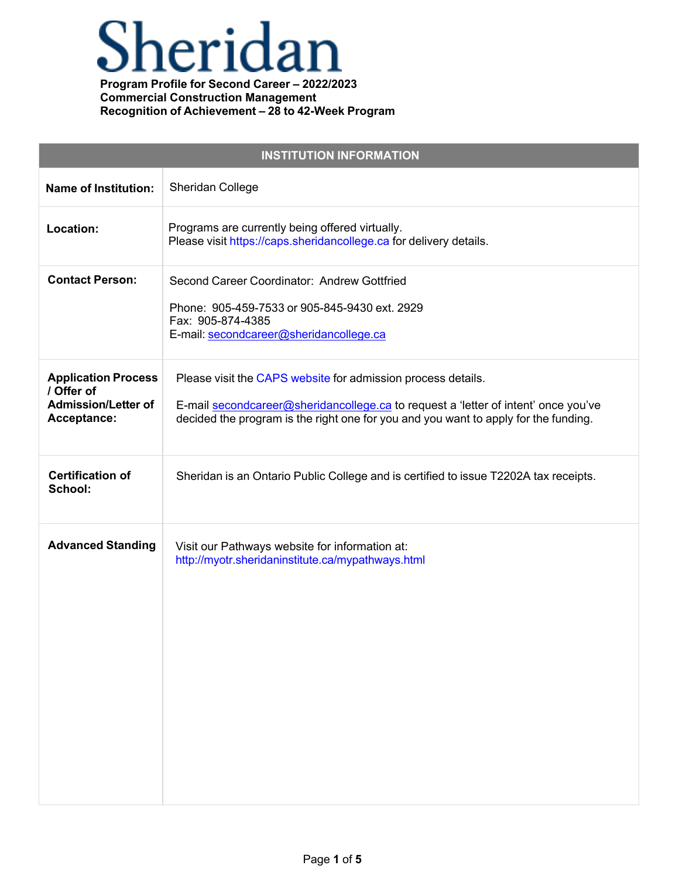# Sheridan

| <b>INSTITUTION INFORMATION</b>                                                        |                                                                                                                                                                                                                                           |  |
|---------------------------------------------------------------------------------------|-------------------------------------------------------------------------------------------------------------------------------------------------------------------------------------------------------------------------------------------|--|
| <b>Name of Institution:</b>                                                           | Sheridan College                                                                                                                                                                                                                          |  |
| Location:                                                                             | Programs are currently being offered virtually.<br>Please visit https://caps.sheridancollege.ca for delivery details.                                                                                                                     |  |
| <b>Contact Person:</b>                                                                | Second Career Coordinator: Andrew Gottfried<br>Phone: 905-459-7533 or 905-845-9430 ext. 2929<br>Fax: 905-874-4385<br>E-mail: secondcareer@sheridancollege.ca                                                                              |  |
| <b>Application Process</b><br>/ Offer of<br><b>Admission/Letter of</b><br>Acceptance: | Please visit the CAPS website for admission process details.<br>E-mail secondcareer@sheridancollege.ca to request a 'letter of intent' once you've<br>decided the program is the right one for you and you want to apply for the funding. |  |
| <b>Certification of</b><br>School:                                                    | Sheridan is an Ontario Public College and is certified to issue T2202A tax receipts.                                                                                                                                                      |  |
| <b>Advanced Standing</b>                                                              | Visit our Pathways website for information at:<br>http://myotr.sheridaninstitute.ca/mypathways.html                                                                                                                                       |  |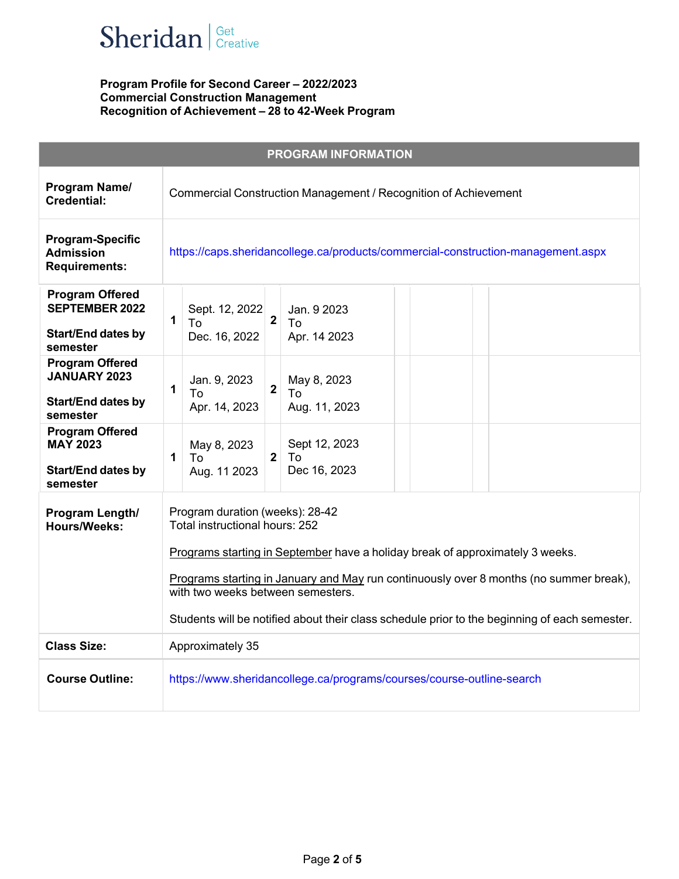

|                                                                                          | <b>PROGRAM INFORMATION</b>                                                                                                                                                                                                                                                                                                                                                         |
|------------------------------------------------------------------------------------------|------------------------------------------------------------------------------------------------------------------------------------------------------------------------------------------------------------------------------------------------------------------------------------------------------------------------------------------------------------------------------------|
| Program Name/<br><b>Credential:</b>                                                      | Commercial Construction Management / Recognition of Achievement                                                                                                                                                                                                                                                                                                                    |
| <b>Program-Specific</b><br><b>Admission</b><br><b>Requirements:</b>                      | https://caps.sheridancollege.ca/products/commercial-construction-management.aspx                                                                                                                                                                                                                                                                                                   |
| <b>Program Offered</b><br><b>SEPTEMBER 2022</b><br><b>Start/End dates by</b><br>semester | Sept. 12, 2022<br>Jan. 9 2023<br>$\overline{2}$<br>1<br>To<br>To<br>Dec. 16, 2022<br>Apr. 14 2023                                                                                                                                                                                                                                                                                  |
| <b>Program Offered</b><br><b>JANUARY 2023</b><br><b>Start/End dates by</b><br>semester   | Jan. 9, 2023<br>May 8, 2023<br>$\overline{2}$<br>1<br>To<br>To<br>Apr. 14, 2023<br>Aug. 11, 2023                                                                                                                                                                                                                                                                                   |
| <b>Program Offered</b><br><b>MAY 2023</b><br><b>Start/End dates by</b><br>semester       | Sept 12, 2023<br>May 8, 2023<br>$\overline{2}$<br>$\mathbf{1}$<br>To<br>To<br>Dec 16, 2023<br>Aug. 11 2023                                                                                                                                                                                                                                                                         |
| Program Length/<br>Hours/Weeks:                                                          | Program duration (weeks): 28-42<br>Total instructional hours: 252<br>Programs starting in September have a holiday break of approximately 3 weeks.<br>Programs starting in January and May run continuously over 8 months (no summer break),<br>with two weeks between semesters.<br>Students will be notified about their class schedule prior to the beginning of each semester. |
| <b>Class Size:</b>                                                                       | Approximately 35                                                                                                                                                                                                                                                                                                                                                                   |
| <b>Course Outline:</b>                                                                   | https://www.sheridancollege.ca/programs/courses/course-outline-search                                                                                                                                                                                                                                                                                                              |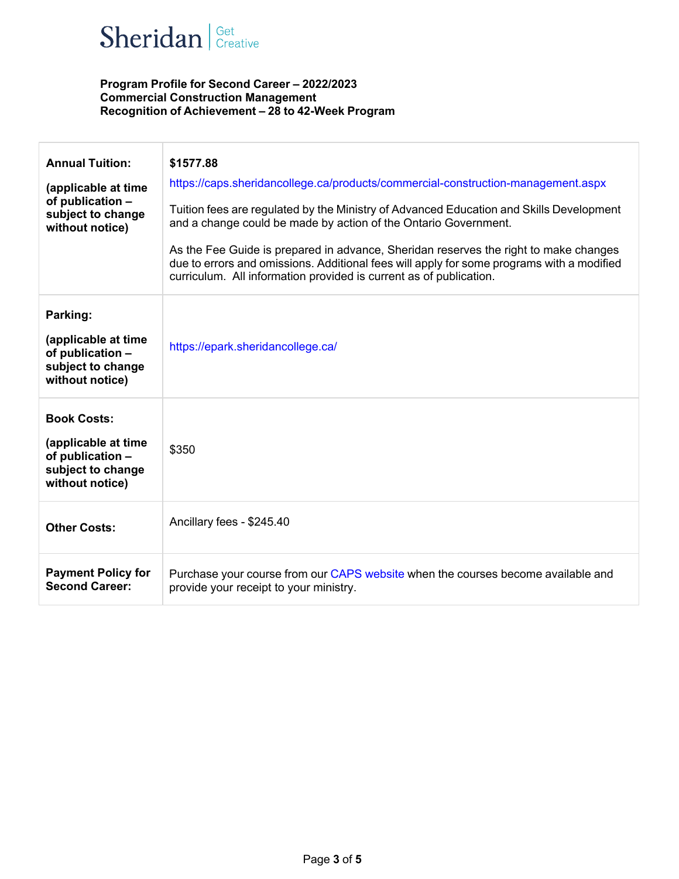

| <b>Annual Tuition:</b><br>(applicable at time<br>of publication -<br>subject to change<br>without notice) | \$1577.88<br>https://caps.sheridancollege.ca/products/commercial-construction-management.aspx<br>Tuition fees are regulated by the Ministry of Advanced Education and Skills Development<br>and a change could be made by action of the Ontario Government.<br>As the Fee Guide is prepared in advance, Sheridan reserves the right to make changes<br>due to errors and omissions. Additional fees will apply for some programs with a modified<br>curriculum. All information provided is current as of publication. |
|-----------------------------------------------------------------------------------------------------------|------------------------------------------------------------------------------------------------------------------------------------------------------------------------------------------------------------------------------------------------------------------------------------------------------------------------------------------------------------------------------------------------------------------------------------------------------------------------------------------------------------------------|
| Parking:<br>(applicable at time<br>of publication -<br>subject to change<br>without notice)               | https://epark.sheridancollege.ca/                                                                                                                                                                                                                                                                                                                                                                                                                                                                                      |
| <b>Book Costs:</b><br>(applicable at time<br>of publication -<br>subject to change<br>without notice)     | \$350                                                                                                                                                                                                                                                                                                                                                                                                                                                                                                                  |
| <b>Other Costs:</b>                                                                                       | Ancillary fees - \$245.40                                                                                                                                                                                                                                                                                                                                                                                                                                                                                              |
| <b>Payment Policy for</b><br><b>Second Career:</b>                                                        | Purchase your course from our CAPS website when the courses become available and<br>provide your receipt to your ministry.                                                                                                                                                                                                                                                                                                                                                                                             |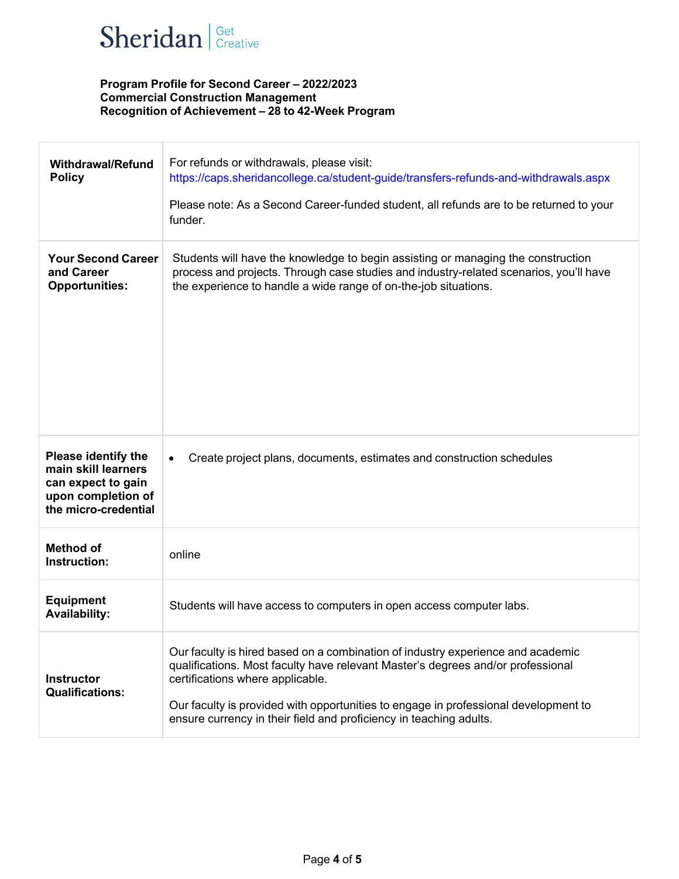

| <b>Withdrawal/Refund</b><br><b>Policy</b>                                                                      | For refunds or withdrawals, please visit:<br>https://caps.sheridancollege.ca/student-guide/transfers-refunds-and-withdrawals.aspx<br>Please note: As a Second Career-funded student, all refunds are to be returned to your<br>funder.                                                                                                                              |
|----------------------------------------------------------------------------------------------------------------|---------------------------------------------------------------------------------------------------------------------------------------------------------------------------------------------------------------------------------------------------------------------------------------------------------------------------------------------------------------------|
| <b>Your Second Career</b><br>and Career<br><b>Opportunities:</b>                                               | Students will have the knowledge to begin assisting or managing the construction<br>process and projects. Through case studies and industry-related scenarios, you'll have<br>the experience to handle a wide range of on-the-job situations.                                                                                                                       |
| Please identify the<br>main skill learners<br>can expect to gain<br>upon completion of<br>the micro-credential | Create project plans, documents, estimates and construction schedules<br>$\bullet$                                                                                                                                                                                                                                                                                  |
| <b>Method of</b><br>Instruction:                                                                               | online                                                                                                                                                                                                                                                                                                                                                              |
| <b>Equipment</b><br><b>Availability:</b>                                                                       | Students will have access to computers in open access computer labs.                                                                                                                                                                                                                                                                                                |
| <b>Instructor</b><br><b>Qualifications:</b>                                                                    | Our faculty is hired based on a combination of industry experience and academic<br>qualifications. Most faculty have relevant Master's degrees and/or professional<br>certifications where applicable.<br>Our faculty is provided with opportunities to engage in professional development to<br>ensure currency in their field and proficiency in teaching adults. |